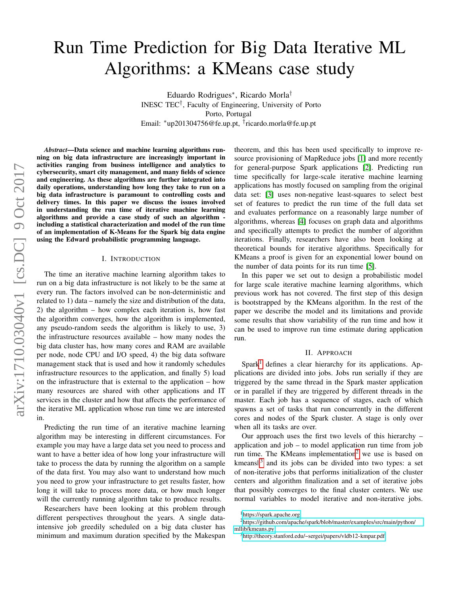# Run Time Prediction for Big Data Iterative ML Algorithms: a KMeans case study

Eduardo Rodrigues<sup>∗</sup> , Ricardo Morla† INESC TEC† , Faculty of Engineering, University of Porto Porto, Portugal Email: <sup>∗</sup>up201304756@fe.up.pt, † ricardo.morla@fe.up.pt

*Abstract*—Data science and machine learning algorithms running on big data infrastructure are increasingly important in activities ranging from business intelligence and analytics to cybersecurity, smart city management, and many fields of science and engineering. As these algorithms are further integrated into daily operations, understanding how long they take to run on a big data infrastructure is paramount to controlling costs and delivery times. In this paper we discuss the issues involved in understanding the run time of iterative machine learning algorithms and provide a case study of such an algorithm including a statistical characterization and model of the run time of an implementation of K-Means for the Spark big data engine using the Edward probabilistic programming language.

## I. INTRODUCTION

The time an iterative machine learning algorithm takes to run on a big data infrastructure is not likely to be the same at every run. The factors involved can be non-deterministic and related to 1) data – namely the size and distribution of the data, 2) the algorithm – how complex each iteration is, how fast the algorithm converges, how the algorithm is implemented, any pseudo-random seeds the algorithm is likely to use, 3) the infrastructure resources available – how many nodes the big data cluster has, how many cores and RAM are available per node, node CPU and I/O speed, 4) the big data software management stack that is used and how it randomly schedules infrastructure resources to the application, and finally 5) load on the infrastructure that is external to the application – how many resources are shared with other applications and IT services in the cluster and how that affects the performance of the iterative ML application whose run time we are interested in.

Predicting the run time of an iterative machine learning algorithm may be interesting in different circumstances. For example you may have a large data set you need to process and want to have a better idea of how long your infrastructure will take to process the data by running the algorithm on a sample of the data first. You may also want to understand how much you need to grow your infrastructure to get results faster, how long it will take to process more data, or how much longer will the currently running algorithm take to produce results.

Researchers have been looking at this problem through different perspectives throughout the years. A single dataintensive job greedily scheduled on a big data cluster has minimum and maximum duration specified by the Makespan theorem, and this has been used specifically to improve resource provisioning of MapReduce jobs [\[1\]](#page-2-0) and more recently for general-purpose Spark applications [\[2\]](#page-2-1). Predicting run time specifically for large-scale iterative machine learning applications has mostly focused on sampling from the original data set: [\[3\]](#page-2-2) uses non-negative least-squares to select best set of features to predict the run time of the full data set and evaluates performance on a reasonably large number of algorithms, whereas [\[4\]](#page-2-3) focuses on graph data and algorithms and specifically attempts to predict the number of algorithm iterations. Finally, researchers have also been looking at theoretical bounds for iterative algorithms. Specifically for KMeans a proof is given for an exponential lower bound on the number of data points for its run time [\[5\]](#page-2-4).

In this paper we set out to design a probabilistic model for large scale iterative machine learning algorithms, which previous work has not covered. The first step of this design is bootstrapped by the KMeans algorithm. In the rest of the paper we describe the model and its limitations and provide some results that show variability of the run time and how it can be used to improve run time estimate during application run.

#### II. APPROACH

 $Spark<sup>1</sup>$  $Spark<sup>1</sup>$  $Spark<sup>1</sup>$  defines a clear hierarchy for its applications. Applications are divided into jobs. Jobs run serially if they are triggered by the same thread in the Spark master application or in parallel if they are triggered by different threads in the master. Each job has a sequence of stages, each of which spawns a set of tasks that run concurrently in the different cores and nodes of the Spark cluster. A stage is only over when all its tasks are over.

Our approach uses the first two levels of this hierarchy – application and job – to model application run time from job run time. The KMeans implementation<sup>[2](#page-0-1)</sup> we use is based on kmeans $\mathbb{I}^3$  $\mathbb{I}^3$  and its jobs can be divided into two types: a set of non-iterative jobs that performs initialization of the cluster centers and algorithm finalization and a set of iterative jobs that possibly converges to the final cluster centers. We use normal variables to model iterative and non-iterative jobs.

<span id="page-0-1"></span><span id="page-0-0"></span><sup>&</sup>lt;sup>1</sup><https://spark.apache.org>

<sup>2</sup>[https://github.com/apache/spark/blob/master/examples/src/main/python/](https://github.com/apache/spark/blob/master/examples/src/main/python/mllib/kmeans.py) [mllib/kmeans.py](https://github.com/apache/spark/blob/master/examples/src/main/python/mllib/kmeans.py)

<span id="page-0-2"></span><sup>3</sup><http://theory.stanford.edu/~sergei/papers/vldb12-kmpar.pdf>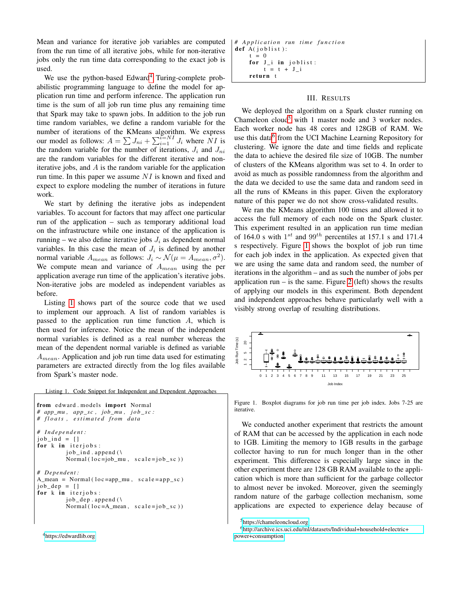Mean and variance for iterative job variables are computed from the run time of all iterative jobs, while for non-iterative jobs only the run time data corresponding to the exact job is used.

We use the python-based Edward<sup>[4](#page-1-0)</sup> Turing-complete probabilistic programming language to define the model for application run time and perform inference. The application run time is the sum of all job run time plus any remaining time that Spark may take to spawn jobs. In addition to the job run time random variables, we define a random variable for the number of iterations of the KMeans algorithm. We express our model as follows:  $A = \sum J_{ni} + \sum_{i=1}^{i=N_I} J_i$  where  $\overline{N}I$  is the random variable for the number of iterations,  $J_i$  and  $J_{ni}$ are the random variables for the different iterative and noniterative jobs, and  $A$  is the random variable for the application run time. In this paper we assume  $NI$  is known and fixed and expect to explore modeling the number of iterations in future work.

We start by defining the iterative jobs as independent variables. To account for factors that may affect one particular run of the application – such as temporary additional load on the infrastructure while one instance of the application is running – we also define iterative jobs  $J_i$  as dependent normal variables. In this case the mean of  $J_i$  is defined by another normal variable  $A_{mean}$  as follows:  $J_i \sim \mathcal{N}(\mu = A_{mean}, \sigma^2)$ . We compute mean and variance of  $A_{mean}$  using the per application average run time of the application's iterative jobs. Non-iterative jobs are modeled as independent variables as before.

Listing [1](#page-1-1) shows part of the source code that we used to implement our approach. A list of random variables is passed to the application run time function A, which is then used for inference. Notice the mean of the independent normal variables is defined as a real number whereas the mean of the dependent normal variable is defined as variable  $A_{mean}$ . Application and job run time data used for estimating parameters are extracted directly from the log files available from Spark's master node.

<span id="page-1-1"></span>Listing 1. Code Snippet for Independent and Dependent Approaches

```
from edward . models import Normal
# app_mu , app_sc , job_mu , j o b _ s c :
# f l o a t s , e s t i m a t e d f r om d at a
# I n d e p e n d e nt :
job\_ind = []for k in iterjobs:
          job\_ind. append (\setminusNormal ( loc = job_mu, scale = job_sc ) )# De pe n de nt :
A_mean = Normal(loc = app_mu, scale = app_sc)job dep = []for k in iterjobs:
          job\_dep. append (\setminusNormal ( loc = A_mean, scale = job_s c ) )
```

```
# A p p l i c a t i o n r u n ti m e f u n c t i o n
def A(joblist):
     t = 0for J_i in joblist:
          t = t + J i
     return t
```
## III. RESULTS

We deployed the algorithm on a Spark cluster running on Chameleon cloud<sup>[5](#page-1-2)</sup> with 1 master node and 3 worker nodes. Each worker node has 48 cores and 128GB of RAM. We use this data<sup>[6](#page-1-3)</sup> from the UCI Machine Learning Repository for clustering. We ignore the date and time fields and replicate the data to achieve the desired file size of 10GB. The number of clusters of the KMeans algorithm was set to 4. In order to avoid as much as possible randomness from the algorithm and the data we decided to use the same data and random seed in all the runs of KMeans in this paper. Given the exploratory nature of this paper we do not show cross-validated results.

We ran the KMeans algorithm 100 times and allowed it to access the full memory of each node on the Spark cluster. This experiment resulted in an application run time median of 164.0 s with  $1^{st}$  and  $99^{th}$  percentiles at 157.1 s and 171.4 s respectively. Figure [1](#page-1-4) shows the boxplot of job run time for each job index in the application. As expected given that we are using the same data and random seed, the number of iterations in the algorithm – and as such the number of jobs per application run – is the same. Figure [2](#page-2-5) (left) shows the results of applying our models in this experiment. Both dependent and independent approaches behave particularly well with a visibly strong overlap of resulting distributions.



<span id="page-1-4"></span>Figure 1. Boxplot diagrams for job run time per job index. Jobs 7-25 are iterative.

We conducted another experiment that restricts the amount of RAM that can be accessed by the application in each node to 1GB. Limiting the memory to 1GB results in the garbage collector having to run for much longer than in the other experiment. This difference is especially large since in the other experiment there are 128 GB RAM available to the application which is more than sufficient for the garbage collector to almost never be invoked. Moreover, given the seemingly random nature of the garbage collection mechanism, some applications are expected to experience delay because of

```
https://chameleoncloud.org
```
<sup>6</sup>[http://archive.ics.uci.edu/ml/datasets/Individual+household+electric+](http://archive.ics.uci.edu/ml/datasets/Individual+household+electric+power+consumption) [power+consumption](http://archive.ics.uci.edu/ml/datasets/Individual+household+electric+power+consumption)